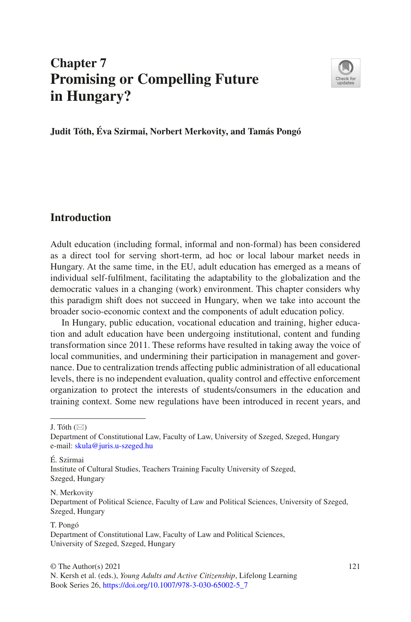# **Chapter 7 Promising or Compelling Future in Hungary?**



**Judit Tóth, Éva Szirmai, Norbert Merkovity, and Tamás Pongó**

## **Introduction**

Adult education (including formal, informal and non-formal) has been considered as a direct tool for serving short-term, ad hoc or local labour market needs in Hungary. At the same time, in the EU, adult education has emerged as a means of individual self-fulflment, facilitating the adaptability to the globalization and the democratic values in a changing (work) environment. This chapter considers why this paradigm shift does not succeed in Hungary, when we take into account the broader socio-economic context and the components of adult education policy.

In Hungary, public education, vocational education and training, higher education and adult education have been undergoing institutional, content and funding transformation since 2011. These reforms have resulted in taking away the voice of local communities, and undermining their participation in management and governance. Due to centralization trends affecting public administration of all educational levels, there is no independent evaluation, quality control and effective enforcement organization to protect the interests of students/consumers in the education and training context. Some new regulations have been introduced in recent years, and

J. Tóth  $(\boxtimes)$ 

N. Merkovity

#### T. Pongó

Department of Constitutional Law, Faculty of Law, University of Szeged, Szeged, Hungary e-mail: [skula@juris.u-szeged.hu](mailto:skula@juris.u-szeged.hu)

É. Szirmai Institute of Cultural Studies, Teachers Training Faculty University of Szeged, Szeged, Hungary

Department of Political Science, Faculty of Law and Political Sciences, University of Szeged, Szeged, Hungary

Department of Constitutional Law, Faculty of Law and Political Sciences, University of Szeged, Szeged, Hungary

N. Kersh et al. (eds.), *Young Adults and Active Citizenship*, Lifelong Learning Book Series 26, [https://doi.org/10.1007/978-3-030-65002-5\\_7](https://doi.org/10.1007/978-3-030-65002-5_7)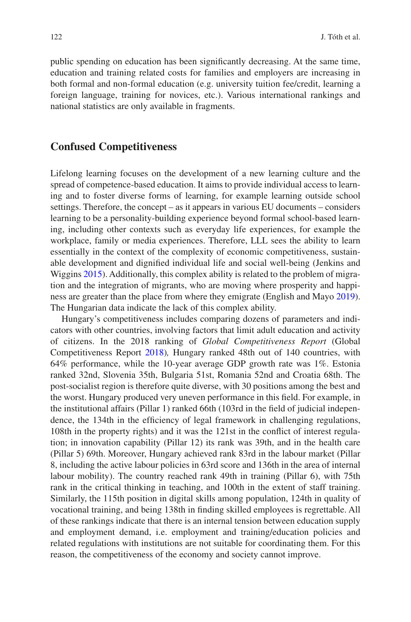public spending on education has been signifcantly decreasing. At the same time, education and training related costs for families and employers are increasing in both formal and non-formal education (e.g. university tuition fee/credit, learning a foreign language, training for novices, etc.). Various international rankings and national statistics are only available in fragments.

#### **Confused Competitiveness**

Lifelong learning focuses on the development of a new learning culture and the spread of competence-based education. It aims to provide individual access to learning and to foster diverse forms of learning, for example learning outside school settings. Therefore, the concept – as it appears in various EU documents – considers learning to be a personality-building experience beyond formal school-based learning, including other contexts such as everyday life experiences, for example the workplace, family or media experiences. Therefore, LLL sees the ability to learn essentially in the context of the complexity of economic competitiveness, sustainable development and dignifed individual life and social well-being (Jenkins and Wiggins [2015](#page-16-0)). Additionally, this complex ability is related to the problem of migration and the integration of migrants, who are moving where prosperity and happiness are greater than the place from where they emigrate (English and Mayo [2019\)](#page-16-1). The Hungarian data indicate the lack of this complex ability.

Hungary's competitiveness includes comparing dozens of parameters and indicators with other countries, involving factors that limit adult education and activity of citizens. In the 2018 ranking of *Global Competitiveness Report* (Global Competitiveness Report [2018](#page-16-2))*,* Hungary ranked 48th out of 140 countries, with 64% performance, while the 10-year average GDP growth rate was 1%. Estonia ranked 32nd, Slovenia 35th, Bulgaria 51st, Romania 52nd and Croatia 68th. The post-socialist region is therefore quite diverse, with 30 positions among the best and the worst. Hungary produced very uneven performance in this feld. For example, in the institutional affairs (Pillar 1) ranked 66th (103rd in the feld of judicial independence, the 134th in the efficiency of legal framework in challenging regulations, 108th in the property rights) and it was the 121st in the confict of interest regulation; in innovation capability (Pillar 12) its rank was 39th, and in the health care (Pillar 5) 69th. Moreover, Hungary achieved rank 83rd in the labour market (Pillar 8, including the active labour policies in 63rd score and 136th in the area of internal labour mobility). The country reached rank 49th in training (Pillar 6), with 75th rank in the critical thinking in teaching, and 100th in the extent of staff training. Similarly, the 115th position in digital skills among population, 124th in quality of vocational training, and being 138th in fnding skilled employees is regrettable. All of these rankings indicate that there is an internal tension between education supply and employment demand, i.e. employment and training/education policies and related regulations with institutions are not suitable for coordinating them. For this reason, the competitiveness of the economy and society cannot improve.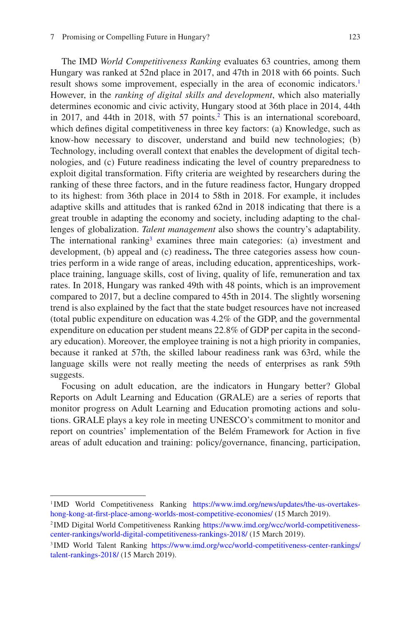The IMD *World Competitiveness Ranking* evaluates 63 countries, among them Hungary was ranked at 52nd place in 2017, and 47th in 2018 with 66 points. Such result shows some improvement, especially in the area of economic indicators.<sup>[1](#page-2-0)</sup> However, in the *ranking of digital skills and development*, which also materially determines economic and civic activity, Hungary stood at 36th place in 2014, 44th in 2017, and 44th in 2018, with 57 points.<sup>2</sup> This is an international scoreboard, which defnes digital competitiveness in three key factors: (a) Knowledge, such as know-how necessary to discover, understand and build new technologies; (b) Technology, including overall context that enables the development of digital technologies, and (c) Future readiness indicating the level of country preparedness to exploit digital transformation. Fifty criteria are weighted by researchers during the ranking of these three factors, and in the future readiness factor, Hungary dropped to its highest: from 36th place in 2014 to 58th in 2018. For example, it includes adaptive skills and attitudes that is ranked 62nd in 2018 indicating that there is a great trouble in adapting the economy and society, including adapting to the challenges of globalization. *Talent management* also shows the country's adaptability. The international ranking<sup>[3](#page-2-2)</sup> examines three main categories: (a) investment and development, (b) appeal and (c) readiness**.** The three categories assess how countries perform in a wide range of areas, including education, apprenticeships, workplace training, language skills, cost of living, quality of life, remuneration and tax rates. In 2018, Hungary was ranked 49th with 48 points, which is an improvement compared to 2017, but a decline compared to 45th in 2014. The slightly worsening trend is also explained by the fact that the state budget resources have not increased (total public expenditure on education was 4.2% of the GDP, and the governmental expenditure on education per student means 22.8% of GDP per capita in the secondary education). Moreover, the employee training is not a high priority in companies, because it ranked at 57th, the skilled labour readiness rank was 63rd, while the language skills were not really meeting the needs of enterprises as rank 59th suggests.

Focusing on adult education, are the indicators in Hungary better? Global Reports on Adult Learning and Education (GRALE) are a series of reports that monitor progress on Adult Learning and Education promoting actions and solutions. GRALE plays a key role in meeting UNESCO's commitment to monitor and report on countries' implementation of the Belém Framework for Action in fve areas of adult education and training: policy/governance, fnancing, participation,

<span id="page-2-0"></span><sup>1</sup> IMD World Competitiveness Ranking [https://www.imd.org/news/updates/the-us-overtakes](https://www.imd.org/news/updates/the-us-overtakes-hong-kong-at-first-place-among-worlds-most-competitive-economies/)[hong-kong-at-frst-place-among-worlds-most-competitive-economies/](https://www.imd.org/news/updates/the-us-overtakes-hong-kong-at-first-place-among-worlds-most-competitive-economies/) (15 March 2019).

<span id="page-2-1"></span><sup>2</sup> IMD Digital World Competitiveness Ranking [https://www.imd.org/wcc/world-competitiveness](https://www.imd.org/wcc/world-competitiveness-center-rankings/world-digital-competitiveness-rankings-2018/)[center-rankings/world-digital-competitiveness-rankings-2018/](https://www.imd.org/wcc/world-competitiveness-center-rankings/world-digital-competitiveness-rankings-2018/) (15 March 2019).

<span id="page-2-2"></span><sup>&</sup>lt;sup>3</sup> IMD World Talent Ranking [https://www.imd.org/wcc/world-competitiveness-center-rankings/](https://www.imd.org/wcc/world-competitiveness-center-rankings/talent-rankings-2018/) [talent-rankings-2018/](https://www.imd.org/wcc/world-competitiveness-center-rankings/talent-rankings-2018/) (15 March 2019).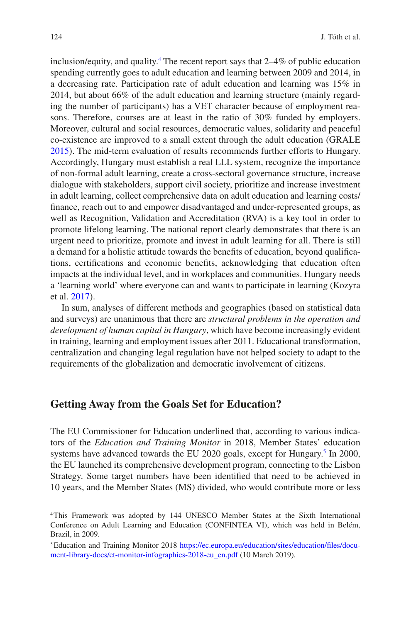inclusion/equity, and quality[.4](#page-3-0) The recent report says that 2–4% of public education spending currently goes to adult education and learning between 2009 and 2014, in a decreasing rate. Participation rate of adult education and learning was 15% in 2014, but about 66% of the adult education and learning structure (mainly regarding the number of participants) has a VET character because of employment reasons. Therefore, courses are at least in the ratio of 30% funded by employers. Moreover, cultural and social resources, democratic values, solidarity and peaceful co-existence are improved to a small extent through the adult education (GRALE [2015\)](#page-16-3). The mid-term evaluation of results recommends further efforts to Hungary. Accordingly, Hungary must establish a real LLL system, recognize the importance of non-formal adult learning, create a cross-sectoral governance structure, increase dialogue with stakeholders, support civil society, prioritize and increase investment in adult learning, collect comprehensive data on adult education and learning costs/ fnance, reach out to and empower disadvantaged and under-represented groups, as well as Recognition, Validation and Accreditation (RVA) is a key tool in order to promote lifelong learning. The national report clearly demonstrates that there is an urgent need to prioritize, promote and invest in adult learning for all. There is still a demand for a holistic attitude towards the benefts of education, beyond qualifcations, certifcations and economic benefts, acknowledging that education often impacts at the individual level, and in workplaces and communities. Hungary needs a 'learning world' where everyone can and wants to participate in learning (Kozyra et al. [2017](#page-16-4)).

In sum, analyses of different methods and geographies (based on statistical data and surveys) are unanimous that there are *structural problems in the operation and development of human capital in Hungary*, which have become increasingly evident in training, learning and employment issues after 2011. Educational transformation, centralization and changing legal regulation have not helped society to adapt to the requirements of the globalization and democratic involvement of citizens.

#### **Getting Away from the Goals Set for Education?**

The EU Commissioner for Education underlined that, according to various indicators of the *Education and Training Monitor* in 2018, Member States' education systems have advanced towards the EU 2020 goals, except for Hungary.<sup>[5](#page-3-1)</sup> In 2000, the EU launched its comprehensive development program, connecting to the Lisbon Strategy. Some target numbers have been identifed that need to be achieved in 10 years, and the Member States (MS) divided, who would contribute more or less

<span id="page-3-0"></span><sup>4</sup>This Framework was adopted by 144 UNESCO Member States at the Sixth International Conference on Adult Learning and Education (CONFINTEA VI), which was held in Belém, Brazil, in 2009.

<span id="page-3-1"></span><sup>5</sup>Education and Training Monitor 2018 [https://ec.europa.eu/education/sites/education/fles/docu](https://ec.europa.eu/education/sites/education/files/document-library-docs/et-monitor-infographics-2018-eu_en.pdf)[ment-library-docs/et-monitor-infographics-2018-eu\\_en.pdf](https://ec.europa.eu/education/sites/education/files/document-library-docs/et-monitor-infographics-2018-eu_en.pdf) (10 March 2019).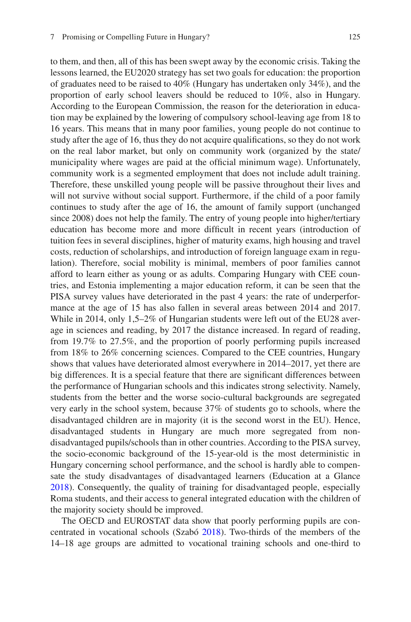to them, and then, all of this has been swept away by the economic crisis. Taking the lessons learned, the EU2020 strategy has set two goals for education: the proportion of graduates need to be raised to 40% (Hungary has undertaken only 34%), and the proportion of early school leavers should be reduced to 10%, also in Hungary. According to the European Commission, the reason for the deterioration in education may be explained by the lowering of compulsory school-leaving age from 18 to 16 years. This means that in many poor families, young people do not continue to study after the age of 16, thus they do not acquire qualifcations, so they do not work on the real labor market, but only on community work (organized by the state/ municipality where wages are paid at the official minimum wage). Unfortunately, community work is a segmented employment that does not include adult training. Therefore, these unskilled young people will be passive throughout their lives and will not survive without social support. Furthermore, if the child of a poor family continues to study after the age of 16, the amount of family support (unchanged since 2008) does not help the family. The entry of young people into higher/tertiary education has become more and more diffcult in recent years (introduction of tuition fees in several disciplines, higher of maturity exams, high housing and travel costs, reduction of scholarships, and introduction of foreign language exam in regulation). Therefore, social mobility is minimal, members of poor families cannot afford to learn either as young or as adults. Comparing Hungary with CEE countries, and Estonia implementing a major education reform, it can be seen that the PISA survey values have deteriorated in the past 4 years: the rate of underperformance at the age of 15 has also fallen in several areas between 2014 and 2017. While in 2014, only 1,5–2% of Hungarian students were left out of the EU28 average in sciences and reading, by 2017 the distance increased. In regard of reading, from 19.7% to 27.5%, and the proportion of poorly performing pupils increased from 18% to 26% concerning sciences. Compared to the CEE countries, Hungary shows that values have deteriorated almost everywhere in 2014–2017, yet there are big differences. It is a special feature that there are signifcant differences between the performance of Hungarian schools and this indicates strong selectivity. Namely, students from the better and the worse socio-cultural backgrounds are segregated very early in the school system, because 37% of students go to schools, where the disadvantaged children are in majority (it is the second worst in the EU). Hence, disadvantaged students in Hungary are much more segregated from nondisadvantaged pupils/schools than in other countries. According to the PISA survey, the socio-economic background of the 15-year-old is the most deterministic in Hungary concerning school performance, and the school is hardly able to compensate the study disadvantages of disadvantaged learners (Education at a Glance [2018\)](#page-16-5). Consequently, the quality of training for disadvantaged people, especially Roma students, and their access to general integrated education with the children of the majority society should be improved.

The OECD and EUROSTAT data show that poorly performing pupils are concentrated in vocational schools (Szabó [2018](#page-16-6)). Two-thirds of the members of the 14–18 age groups are admitted to vocational training schools and one-third to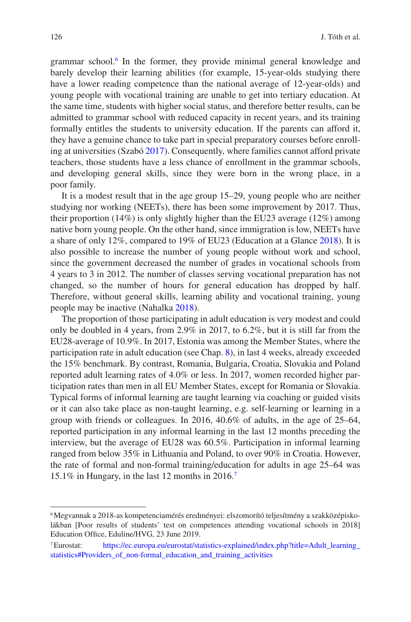grammar school[.6](#page-5-0) In the former, they provide minimal general knowledge and barely develop their learning abilities (for example, 15-year-olds studying there have a lower reading competence than the national average of 12-year-olds) and young people with vocational training are unable to get into tertiary education. At the same time, students with higher social status, and therefore better results, can be admitted to grammar school with reduced capacity in recent years, and its training formally entitles the students to university education. If the parents can afford it, they have a genuine chance to take part in special preparatory courses before enrolling at universities (Szabó [2017\)](#page-16-7). Consequently, where families cannot afford private teachers, those students have a less chance of enrollment in the grammar schools, and developing general skills, since they were born in the wrong place, in a poor family.

It is a modest result that in the age group 15–29, young people who are neither studying nor working (NEETs), there has been some improvement by 2017. Thus, their proportion  $(14\%)$  is only slightly higher than the EU23 average  $(12\%)$  among native born young people. On the other hand, since immigration is low, NEETs have a share of only 12%, compared to 19% of EU23 (Education at a Glance [2018\)](#page-16-5). It is also possible to increase the number of young people without work and school, since the government decreased the number of grades in vocational schools from 4 years to 3 in 2012. The number of classes serving vocational preparation has not changed, so the number of hours for general education has dropped by half. Therefore, without general skills, learning ability and vocational training, young people may be inactive (Nahalka [2018\)](#page-16-8).

The proportion of those participating in adult education is very modest and could only be doubled in 4 years, from 2.9% in 2017, to 6.2%, but it is still far from the EU28-average of 10.9%. In 2017, Estonia was among the Member States, where the participation rate in adult education (see Chap. [8\)](https://doi.org/10.1007/978-3-030-65002-5_8), in last 4 weeks, already exceeded the 15% benchmark. By contrast, Romania, Bulgaria, Croatia, Slovakia and Poland reported adult learning rates of 4.0% or less. In 2017, women recorded higher participation rates than men in all EU Member States, except for Romania or Slovakia. Typical forms of informal learning are taught learning via coaching or guided visits or it can also take place as non-taught learning, e.g. self-learning or learning in a group with friends or colleagues. In 2016, 40.6% of adults, in the age of 25–64, reported participation in any informal learning in the last 12 months preceding the interview, but the average of EU28 was 60.5%. Participation in informal learning ranged from below 35% in Lithuania and Poland, to over 90% in Croatia. However, the rate of formal and non-formal training/education for adults in age 25–64 was 15.1% in Hungary, in the last 12 months in 2016[.7](#page-5-1)

<span id="page-5-0"></span><sup>6</sup>Megvannak a 2018-as kompetenciamérés eredményei: elszomorító teljesítmény a szakközépiskolákban [Poor results of students' test on competences attending vocational schools in 2018] Education Office, Eduline/HVG, 23 June 2019.

<span id="page-5-1"></span><sup>7</sup>Eurostat: [https://ec.europa.eu/eurostat/statistics-explained/index.php?title=Adult\\_learning\\_](https://ec.europa.eu/eurostat/statistics-explained/index.php?title=Adult_learning_statistics#Providers_of_non-formal_education_and_training_activities) [statistics#Providers\\_of\\_non-formal\\_education\\_and\\_training\\_activities](https://ec.europa.eu/eurostat/statistics-explained/index.php?title=Adult_learning_statistics#Providers_of_non-formal_education_and_training_activities)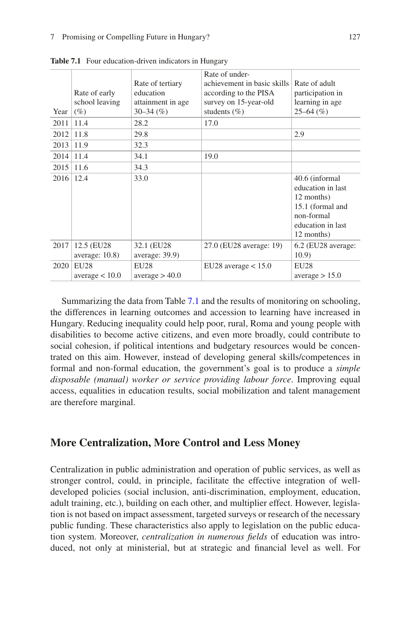| Year | Rate of early<br>school leaving<br>$(\%)$ | Rate of tertiary<br>education<br>attainment in age<br>$30 - 34$ (%) | Rate of under-<br>achievement in basic skills<br>according to the PISA<br>survey on 15-year-old<br>students $(\% )$ | Rate of adult<br>participation in<br>learning in age<br>$25 - 64$ (%)                                                  |
|------|-------------------------------------------|---------------------------------------------------------------------|---------------------------------------------------------------------------------------------------------------------|------------------------------------------------------------------------------------------------------------------------|
| 2011 | 11.4                                      | 28.2                                                                | 17.0                                                                                                                |                                                                                                                        |
| 2012 | 11.8                                      | 29.8                                                                |                                                                                                                     | 2.9                                                                                                                    |
| 2013 | 11.9                                      | 32.3                                                                |                                                                                                                     |                                                                                                                        |
| 2014 | 11.4                                      | 34.1                                                                | 19.0                                                                                                                |                                                                                                                        |
| 2015 | 11.6                                      | 34.3                                                                |                                                                                                                     |                                                                                                                        |
| 2016 | 12.4                                      | 33.0                                                                |                                                                                                                     | 40.6 (informal<br>education in last<br>12 months)<br>15.1 (formal and<br>non-formal<br>education in last<br>12 months) |
| 2017 | 12.5 (EU28)<br>average: $10.8$ )          | 32.1 (EU28)<br>average: 39.9)                                       | 27.0 (EU28 average: 19)                                                                                             | 6.2 (EU28 average:<br>10.9)                                                                                            |
| 2020 | EU28<br>average $< 10.0$                  | <b>EU28</b><br>average > 40.0                                       | EU28 average $< 15.0$                                                                                               | EU28<br>average > 15.0                                                                                                 |

<span id="page-6-0"></span>Table 7.1 Four education-driven indicators in Hungary

Summarizing the data from Table [7.1](#page-6-0) and the results of monitoring on schooling, the differences in learning outcomes and accession to learning have increased in Hungary. Reducing inequality could help poor, rural, Roma and young people with disabilities to become active citizens, and even more broadly, could contribute to social cohesion, if political intentions and budgetary resources would be concentrated on this aim. However, instead of developing general skills/competences in formal and non-formal education, the government's goal is to produce a *simple disposable (manual) worker or service providing labour force*. Improving equal access, equalities in education results, social mobilization and talent management are therefore marginal.

## **More Centralization, More Control and Less Money**

Centralization in public administration and operation of public services, as well as stronger control, could, in principle, facilitate the effective integration of welldeveloped policies (social inclusion, anti-discrimination, employment, education, adult training, etc.), building on each other, and multiplier effect. However, legislation is not based on impact assessment, targeted surveys or research of the necessary public funding. These characteristics also apply to legislation on the public education system. Moreover, *centralization in numerous felds* of education was introduced, not only at ministerial, but at strategic and fnancial level as well. For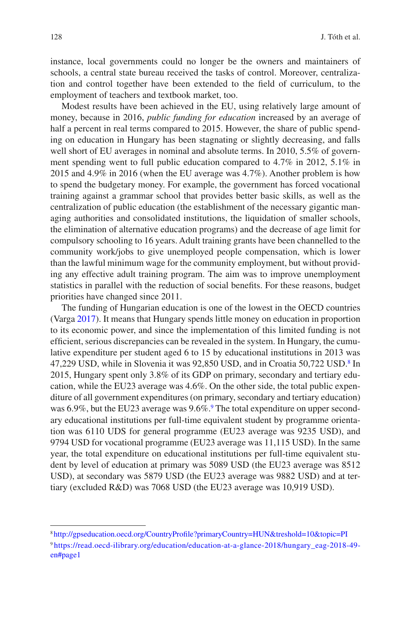instance, local governments could no longer be the owners and maintainers of schools, a central state bureau received the tasks of control. Moreover, centralization and control together have been extended to the feld of curriculum, to the employment of teachers and textbook market, too.

Modest results have been achieved in the EU, using relatively large amount of money, because in 2016, *public funding for education* increased by an average of half a percent in real terms compared to 2015. However, the share of public spending on education in Hungary has been stagnating or slightly decreasing, and falls well short of EU averages in nominal and absolute terms. In 2010, 5.5% of government spending went to full public education compared to 4.7% in 2012, 5.1% in 2015 and 4.9% in 2016 (when the EU average was 4.7%). Another problem is how to spend the budgetary money. For example, the government has forced vocational training against a grammar school that provides better basic skills, as well as the centralization of public education (the establishment of the necessary gigantic managing authorities and consolidated institutions, the liquidation of smaller schools, the elimination of alternative education programs) and the decrease of age limit for compulsory schooling to 16 years. Adult training grants have been channelled to the community work/jobs to give unemployed people compensation, which is lower than the lawful minimum wage for the community employment, but without providing any effective adult training program. The aim was to improve unemployment statistics in parallel with the reduction of social benefts. For these reasons, budget priorities have changed since 2011.

The funding of Hungarian education is one of the lowest in the OECD countries (Varga [2017](#page-17-0)). It means that Hungary spends little money on education in proportion to its economic power, and since the implementation of this limited funding is not effcient, serious discrepancies can be revealed in the system. In Hungary, the cumulative expenditure per student aged 6 to 15 by educational institutions in 2013 was 47,229 USD, while in Slovenia it was 92,[8](#page-7-0)50 USD, and in Croatia 50,722 USD.<sup>8</sup> In 2015, Hungary spent only 3.8% of its GDP on primary, secondary and tertiary education, while the EU23 average was 4.6%. On the other side, the total public expenditure of all government expenditures (on primary, secondary and tertiary education) was 6[.9](#page-7-1)%, but the EU23 average was 9.6%.<sup>9</sup> The total expenditure on upper secondary educational institutions per full-time equivalent student by programme orientation was 6110 UDS for general programme (EU23 average was 9235 USD), and 9794 USD for vocational programme (EU23 average was 11,115 USD). In the same year, the total expenditure on educational institutions per full-time equivalent student by level of education at primary was 5089 USD (the EU23 average was 8512 USD), at secondary was 5879 USD (the EU23 average was 9882 USD) and at tertiary (excluded R&D) was 7068 USD (the EU23 average was 10,919 USD).

<span id="page-7-1"></span><span id="page-7-0"></span><sup>8</sup> [http://gpseducation.oecd.org/CountryProfle?primaryCountry=HUN&treshold=10&topic=PI](http://gpseducation.oecd.org/CountryProfile?primaryCountry=HUN&treshold=10&topic=PI) <sup>9</sup> [https://read.oecd-ilibrary.org/education/education-at-a-glance-2018/hungary\\_eag-2018-49](https://read.oecd-ilibrary.org/education/education-at-a-glance-2018/hungary_eag-2018-49-en#page1) [en#page1](https://read.oecd-ilibrary.org/education/education-at-a-glance-2018/hungary_eag-2018-49-en#page1)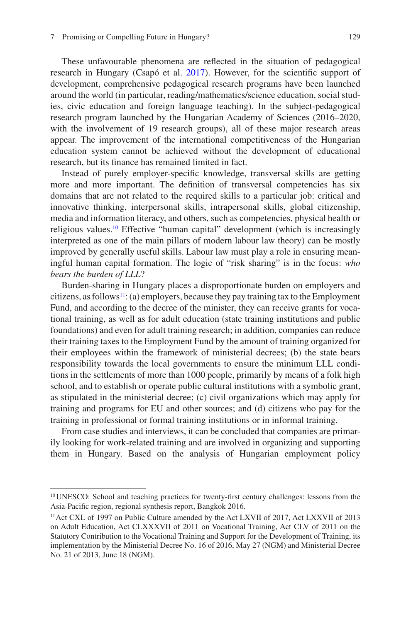These unfavourable phenomena are refected in the situation of pedagogical research in Hungary (Csapó et al. [2017](#page-16-9)). However, for the scientifc support of development, comprehensive pedagogical research programs have been launched around the world (in particular, reading/mathematics/science education, social studies, civic education and foreign language teaching). In the subject-pedagogical research program launched by the Hungarian Academy of Sciences (2016–2020, with the involvement of 19 research groups), all of these major research areas appear. The improvement of the international competitiveness of the Hungarian education system cannot be achieved without the development of educational research, but its fnance has remained limited in fact.

Instead of purely employer-specifc knowledge, transversal skills are getting more and more important. The defnition of transversal competencies has six domains that are not related to the required skills to a particular job: critical and innovative thinking, interpersonal skills, intrapersonal skills, global citizenship, media and information literacy, and others, such as competencies, physical health or religious values[.10](#page-8-0) Effective "human capital" development (which is increasingly interpreted as one of the main pillars of modern labour law theory) can be mostly improved by generally useful skills. Labour law must play a role in ensuring meaningful human capital formation. The logic of "risk sharing" is in the focus: *who bears the burden of LLL*?

Burden-sharing in Hungary places a disproportionate burden on employers and citizens, as follows<sup>11</sup>: (a) employers, because they pay training tax to the Employment Fund, and according to the decree of the minister, they can receive grants for vocational training, as well as for adult education (state training institutions and public foundations) and even for adult training research; in addition, companies can reduce their training taxes to the Employment Fund by the amount of training organized for their employees within the framework of ministerial decrees; (b) the state bears responsibility towards the local governments to ensure the minimum LLL conditions in the settlements of more than 1000 people, primarily by means of a folk high school, and to establish or operate public cultural institutions with a symbolic grant, as stipulated in the ministerial decree; (c) civil organizations which may apply for training and programs for EU and other sources; and (d) citizens who pay for the training in professional or formal training institutions or in informal training.

From case studies and interviews, it can be concluded that companies are primarily looking for work-related training and are involved in organizing and supporting them in Hungary. Based on the analysis of Hungarian employment policy

<span id="page-8-0"></span><sup>10</sup>UNESCO: School and teaching practices for twenty-frst century challenges: lessons from the Asia-Pacifc region, regional synthesis report, Bangkok 2016.

<span id="page-8-1"></span><sup>11</sup>Act CXL of 1997 on Public Culture amended by the Act LXVII of 2017, Act LXXVII of 2013 on Adult Education, Act CLXXXVII of 2011 on Vocational Training, Act CLV of 2011 on the Statutory Contribution to the Vocational Training and Support for the Development of Training, its implementation by the Ministerial Decree No. 16 of 2016, May 27 (NGM) and Ministerial Decree No. 21 of 2013, June 18 (NGM).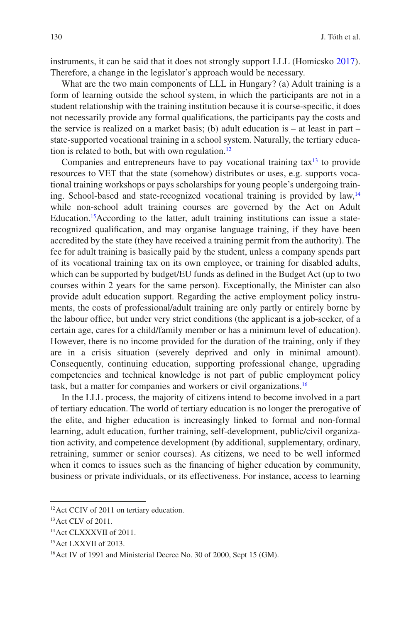instruments, it can be said that it does not strongly support LLL (Homicsko [2017\)](#page-16-10). Therefore, a change in the legislator's approach would be necessary.

What are the two main components of LLL in Hungary? (a) Adult training is a form of learning outside the school system, in which the participants are not in a student relationship with the training institution because it is course-specifc, it does not necessarily provide any formal qualifcations, the participants pay the costs and the service is realized on a market basis; (b) adult education is – at least in part – state-supported vocational training in a school system. Naturally, the tertiary education is related to both, but with own regulation. $^{12}$  $^{12}$  $^{12}$ 

Companies and entrepreneurs have to pay vocational training  $\text{tax}^{13}$  to provide resources to VET that the state (somehow) distributes or uses, e.g. supports vocational training workshops or pays scholarships for young people's undergoing training. School-based and state-recognized vocational training is provided by law,[14](#page-9-2) while non-school adult training courses are governed by the Act on Adult Education.[15A](#page-9-3)ccording to the latter, adult training institutions can issue a staterecognized qualifcation, and may organise language training, if they have been accredited by the state (they have received a training permit from the authority). The fee for adult training is basically paid by the student, unless a company spends part of its vocational training tax on its own employee, or training for disabled adults, which can be supported by budget/EU funds as defned in the Budget Act (up to two courses within 2 years for the same person). Exceptionally, the Minister can also provide adult education support. Regarding the active employment policy instruments, the costs of professional/adult training are only partly or entirely borne by the labour offce, but under very strict conditions (the applicant is a job-seeker, of a certain age, cares for a child/family member or has a minimum level of education). However, there is no income provided for the duration of the training, only if they are in a crisis situation (severely deprived and only in minimal amount). Consequently, continuing education, supporting professional change, upgrading competencies and technical knowledge is not part of public employment policy task, but a matter for companies and workers or civil organizations.[16](#page-9-4)

In the LLL process, the majority of citizens intend to become involved in a part of tertiary education. The world of tertiary education is no longer the prerogative of the elite, and higher education is increasingly linked to formal and non-formal learning, adult education, further training, self-development, public/civil organization activity, and competence development (by additional, supplementary, ordinary, retraining, summer or senior courses). As citizens, we need to be well informed when it comes to issues such as the fnancing of higher education by community, business or private individuals, or its effectiveness. For instance, access to learning

<span id="page-9-0"></span><sup>&</sup>lt;sup>12</sup> Act CCIV of 2011 on tertiary education.

<span id="page-9-1"></span><sup>13</sup>Act CLV of 2011.

<span id="page-9-2"></span><sup>&</sup>lt;sup>14</sup> Act CLXXXVII of 2011.

<span id="page-9-3"></span><sup>&</sup>lt;sup>15</sup> Act LXXVII of 2013.

<span id="page-9-4"></span><sup>&</sup>lt;sup>16</sup> Act IV of 1991 and Ministerial Decree No. 30 of 2000, Sept 15 (GM).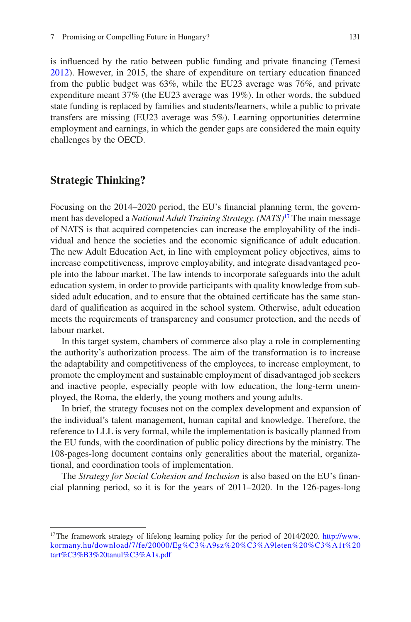is infuenced by the ratio between public funding and private fnancing (Temesi [2012\)](#page-16-11). However, in 2015, the share of expenditure on tertiary education fnanced from the public budget was 63%, while the EU23 average was 76%, and private expenditure meant 37% (the EU23 average was 19%). In other words, the subdued state funding is replaced by families and students/learners, while a public to private transfers are missing (EU23 average was 5%). Learning opportunities determine employment and earnings, in which the gender gaps are considered the main equity challenges by the OECD.

## **Strategic Thinking?**

Focusing on the 2014–2020 period, the EU's fnancial planning term, the government has developed a *National Adult Training Strategy. (NATS)*[17](#page-10-0) The main message of NATS is that acquired competencies can increase the employability of the individual and hence the societies and the economic signifcance of adult education. The new Adult Education Act, in line with employment policy objectives, aims to increase competitiveness, improve employability, and integrate disadvantaged people into the labour market. The law intends to incorporate safeguards into the adult education system, in order to provide participants with quality knowledge from subsided adult education, and to ensure that the obtained certifcate has the same standard of qualifcation as acquired in the school system. Otherwise, adult education meets the requirements of transparency and consumer protection, and the needs of labour market.

In this target system, chambers of commerce also play a role in complementing the authority's authorization process. The aim of the transformation is to increase the adaptability and competitiveness of the employees, to increase employment, to promote the employment and sustainable employment of disadvantaged job seekers and inactive people, especially people with low education, the long-term unemployed, the Roma, the elderly, the young mothers and young adults.

In brief, the strategy focuses not on the complex development and expansion of the individual's talent management, human capital and knowledge. Therefore, the reference to LLL is very formal, while the implementation is basically planned from the EU funds, with the coordination of public policy directions by the ministry. The 108-pages-long document contains only generalities about the material, organizational, and coordination tools of implementation.

The *Strategy for Social Cohesion and Inclusion* is also based on the EU's fnancial planning period, so it is for the years of 2011–2020. In the 126-pages-long

<span id="page-10-0"></span><sup>&</sup>lt;sup>17</sup>The framework strategy of lifelong learning policy for the period of 2014/2020. [http://www.](http://www.kormany.hu/download/7/fe/20000/Eg%C3%A9sz%20%C3%A9leten%20%C3%A1t%20tart%C3%B3%20tanul%C3%A1s.pdf) [kormany.hu/download/7/fe/20000/Eg%C3%A9sz%20%C3%A9leten%20%C3%A1t%20](http://www.kormany.hu/download/7/fe/20000/Eg%C3%A9sz%20%C3%A9leten%20%C3%A1t%20tart%C3%B3%20tanul%C3%A1s.pdf) [tart%C3%B3%20tanul%C3%A1s.pdf](http://www.kormany.hu/download/7/fe/20000/Eg%C3%A9sz%20%C3%A9leten%20%C3%A1t%20tart%C3%B3%20tanul%C3%A1s.pdf)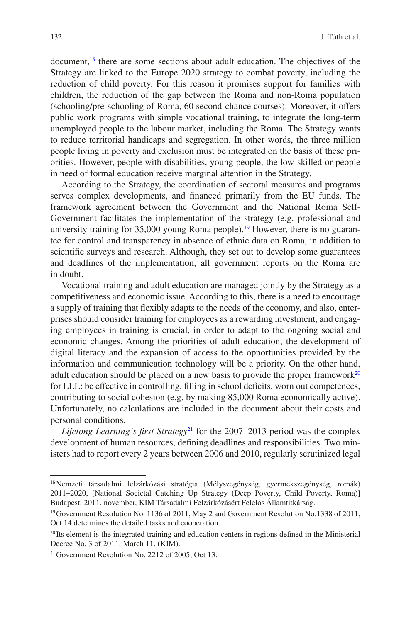document,<sup>18</sup> there are some sections about adult education. The objectives of the Strategy are linked to the Europe 2020 strategy to combat poverty, including the reduction of child poverty. For this reason it promises support for families with children, the reduction of the gap between the Roma and non-Roma population (schooling/pre-schooling of Roma, 60 second-chance courses). Moreover, it offers public work programs with simple vocational training, to integrate the long-term unemployed people to the labour market, including the Roma. The Strategy wants to reduce territorial handicaps and segregation. In other words, the three million people living in poverty and exclusion must be integrated on the basis of these priorities. However, people with disabilities, young people, the low-skilled or people in need of formal education receive marginal attention in the Strategy.

According to the Strategy, the coordination of sectoral measures and programs serves complex developments, and fnanced primarily from the EU funds. The framework agreement between the Government and the National Roma Self-Government facilitates the implementation of the strategy (e.g. professional and university training for  $35,000$  young Roma people).<sup>19</sup> However, there is no guarantee for control and transparency in absence of ethnic data on Roma, in addition to scientifc surveys and research. Although, they set out to develop some guarantees and deadlines of the implementation, all government reports on the Roma are in doubt.

Vocational training and adult education are managed jointly by the Strategy as a competitiveness and economic issue. According to this, there is a need to encourage a supply of training that fexibly adapts to the needs of the economy, and also, enterprises should consider training for employees as a rewarding investment, and engaging employees in training is crucial, in order to adapt to the ongoing social and economic changes. Among the priorities of adult education, the development of digital literacy and the expansion of access to the opportunities provided by the information and communication technology will be a priority. On the other hand, adult education should be placed on a new basis to provide the proper framework<sup>[20](#page-11-2)</sup> for LLL: be effective in controlling, filling in school deficits, worn out competences, contributing to social cohesion (e.g. by making 85,000 Roma economically active). Unfortunately, no calculations are included in the document about their costs and personal conditions.

*Lifelong Learning's frst Strategy*[21](#page-11-3) for the 2007–2013 period was the complex development of human resources, defning deadlines and responsibilities. Two ministers had to report every 2 years between 2006 and 2010, regularly scrutinized legal

<span id="page-11-0"></span><sup>&</sup>lt;sup>18</sup>Nemzeti társadalmi felzárkózási stratégia (Mélyszegénység, gyermekszegénység, romák) 2011–2020, [National Societal Catching Up Strategy (Deep Poverty, Child Poverty, Roma)] Budapest, 2011. november, KIM Társadalmi Felzárkózásért Felelős Államtitkárság.

<span id="page-11-1"></span><sup>19</sup>Government Resolution No. 1136 of 2011, May 2 and Government Resolution No.1338 of 2011, Oct 14 determines the detailed tasks and cooperation.

<span id="page-11-2"></span> $^{20}$  Its element is the integrated training and education centers in regions defined in the Ministerial Decree No. 3 of 2011, March 11. (KIM).

<span id="page-11-3"></span><sup>&</sup>lt;sup>21</sup> Government Resolution No. 2212 of 2005, Oct 13.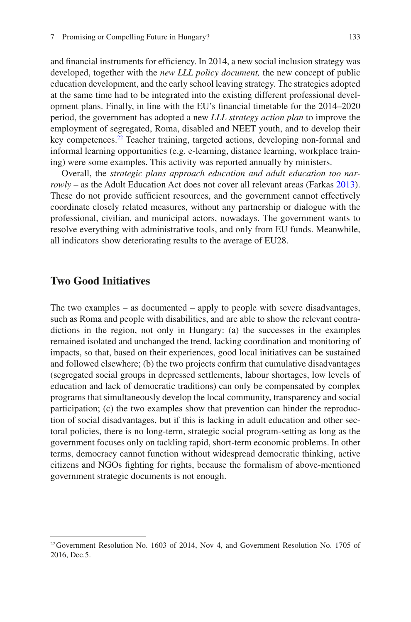and financial instruments for efficiency. In 2014, a new social inclusion strategy was developed, together with the *new LLL policy document,* the new concept of public education development, and the early school leaving strategy. The strategies adopted at the same time had to be integrated into the existing different professional development plans. Finally, in line with the EU's fnancial timetable for the 2014–2020 period, the government has adopted a new *LLL strategy action plan* to improve the employment of segregated, Roma, disabled and NEET youth, and to develop their key competences[.22](#page-12-0) Teacher training, targeted actions, developing non-formal and informal learning opportunities (e.g. e-learning, distance learning, workplace training) were some examples. This activity was reported annually by ministers.

Overall, the *strategic plans approach education and adult education too narrowly* – as the Adult Education Act does not cover all relevant areas (Farkas [2013\)](#page-16-12). These do not provide sufficient resources, and the government cannot effectively coordinate closely related measures, without any partnership or dialogue with the professional, civilian, and municipal actors, nowadays. The government wants to resolve everything with administrative tools, and only from EU funds. Meanwhile, all indicators show deteriorating results to the average of EU28.

#### **Two Good Initiatives**

The two examples – as documented – apply to people with severe disadvantages, such as Roma and people with disabilities, and are able to show the relevant contradictions in the region, not only in Hungary: (a) the successes in the examples remained isolated and unchanged the trend, lacking coordination and monitoring of impacts, so that, based on their experiences, good local initiatives can be sustained and followed elsewhere; (b) the two projects confrm that cumulative disadvantages (segregated social groups in depressed settlements, labour shortages, low levels of education and lack of democratic traditions) can only be compensated by complex programs that simultaneously develop the local community, transparency and social participation; (c) the two examples show that prevention can hinder the reproduction of social disadvantages, but if this is lacking in adult education and other sectoral policies, there is no long-term, strategic social program-setting as long as the government focuses only on tackling rapid, short-term economic problems. In other terms, democracy cannot function without widespread democratic thinking, active citizens and NGOs fghting for rights, because the formalism of above-mentioned government strategic documents is not enough.

<span id="page-12-0"></span><sup>22</sup>Government Resolution No. 1603 of 2014, Nov 4, and Government Resolution No. 1705 of 2016, Dec.5.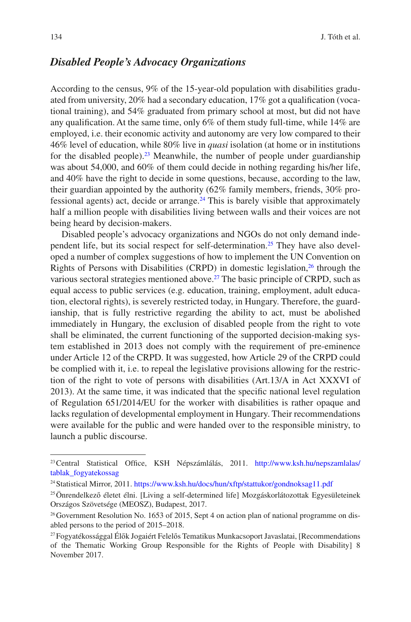### *Disabled People's Advocacy Organizations*

According to the census, 9% of the 15-year-old population with disabilities graduated from university, 20% had a secondary education, 17% got a qualifcation (vocational training), and 54% graduated from primary school at most, but did not have any qualifcation. At the same time, only 6% of them study full-time, while 14% are employed, i.e. their economic activity and autonomy are very low compared to their 46% level of education, while 80% live in *quasi* isolation (at home or in institutions for the disabled people)[.23](#page-13-0) Meanwhile, the number of people under guardianship was about 54,000, and 60% of them could decide in nothing regarding his/her life, and 40% have the right to decide in some questions, because, according to the law, their guardian appointed by the authority (62% family members, friends, 30% professional agents) act, decide or arrange.<sup>24</sup> This is barely visible that approximately half a million people with disabilities living between walls and their voices are not being heard by decision-makers.

Disabled people's advocacy organizations and NGOs do not only demand independent life, but its social respect for self-determination[.25](#page-13-2) They have also developed a number of complex suggestions of how to implement the UN Convention on Rights of Persons with Disabilities (CRPD) in domestic legislation,[26](#page-13-3) through the various sectoral strategies mentioned above.<sup>27</sup> The basic principle of CRPD, such as equal access to public services (e.g. education, training, employment, adult education, electoral rights), is severely restricted today, in Hungary. Therefore, the guardianship, that is fully restrictive regarding the ability to act, must be abolished immediately in Hungary, the exclusion of disabled people from the right to vote shall be eliminated, the current functioning of the supported decision-making system established in 2013 does not comply with the requirement of pre-eminence under Article 12 of the CRPD. It was suggested, how Article 29 of the CRPD could be complied with it, i.e. to repeal the legislative provisions allowing for the restriction of the right to vote of persons with disabilities (Art.13/A in Act XXXVI of 2013). At the same time, it was indicated that the specifc national level regulation of Regulation 651/2014/EU for the worker with disabilities is rather opaque and lacks regulation of developmental employment in Hungary. Their recommendations were available for the public and were handed over to the responsible ministry, to launch a public discourse.

<span id="page-13-0"></span><sup>&</sup>lt;sup>23</sup> Central Statistical Office, KSH Népszámlálás, 2011. [http://www.ksh.hu/nepszamlalas/](http://www.ksh.hu/nepszamlalas/tablak_fogyatekossag) [tablak\\_fogyatekossag](http://www.ksh.hu/nepszamlalas/tablak_fogyatekossag)

<span id="page-13-1"></span><sup>&</sup>lt;sup>24</sup> Statistical Mirror, 2011.<https://www.ksh.hu/docs/hun/xftp/stattukor/gondnoksag11.pdf>

<span id="page-13-2"></span> $25$ Önrendelkező életet élni. [Living a self-determined life] Mozgáskorlátozottak Egyesületeinek Országos Szövetsége (MEOSZ), Budapest, 2017.

<span id="page-13-3"></span><sup>26</sup>Government Resolution No. 1653 of 2015, Sept 4 on action plan of national programme on disabled persons to the period of 2015–2018.

<span id="page-13-4"></span><sup>27</sup>Fogyatékossággal Élők Jogaiért Felelős Tematikus Munkacsoport Javaslatai, [Recommendations of the Thematic Working Group Responsible for the Rights of People with Disability] 8 November 2017.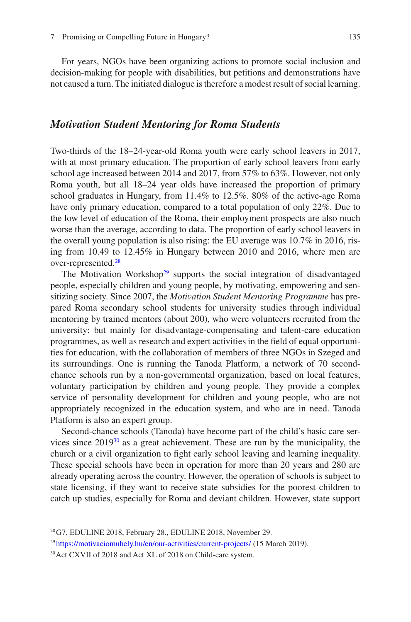For years, NGOs have been organizing actions to promote social inclusion and decision-making for people with disabilities, but petitions and demonstrations have not caused a turn. The initiated dialogue is therefore a modest result of social learning.

#### *Motivation Student Mentoring for Roma Students*

Two-thirds of the 18–24-year-old Roma youth were early school leavers in 2017, with at most primary education. The proportion of early school leavers from early school age increased between 2014 and 2017, from 57% to 63%. However, not only Roma youth, but all 18–24 year olds have increased the proportion of primary school graduates in Hungary, from 11.4% to 12.5%. 80% of the active-age Roma have only primary education, compared to a total population of only 22%. Due to the low level of education of the Roma, their employment prospects are also much worse than the average, according to data. The proportion of early school leavers in the overall young population is also rising: the EU average was 10.7% in 2016, rising from 10.49 to 12.45% in Hungary between 2010 and 2016, where men are over-represented[.28](#page-14-0)

The Motivation Workshop<sup>29</sup> supports the social integration of disadvantaged people, especially children and young people, by motivating, empowering and sensitizing society. Since 2007, the *Motivation Student Mentoring Programme* has prepared Roma secondary school students for university studies through individual mentoring by trained mentors (about 200), who were volunteers recruited from the university; but mainly for disadvantage-compensating and talent-care education programmes, as well as research and expert activities in the feld of equal opportunities for education, with the collaboration of members of three NGOs in Szeged and its surroundings. One is running the Tanoda Platform, a network of 70 secondchance schools run by a non-governmental organization, based on local features, voluntary participation by children and young people. They provide a complex service of personality development for children and young people, who are not appropriately recognized in the education system, and who are in need. Tanoda Platform is also an expert group.

Second-chance schools (Tanoda) have become part of the child's basic care services since  $2019^{30}$  as a great achievement. These are run by the municipality, the church or a civil organization to fght early school leaving and learning inequality. These special schools have been in operation for more than 20 years and 280 are already operating across the country. However, the operation of schools is subject to state licensing, if they want to receive state subsidies for the poorest children to catch up studies, especially for Roma and deviant children. However, state support

<span id="page-14-0"></span><sup>28</sup>G7, EDULINE 2018, February 28., EDULINE 2018, November 29.

<span id="page-14-1"></span><sup>&</sup>lt;sup>29</sup> <https://motivaciomuhely.hu/en/our-activities/current-projects/>(15 March 2019).

<span id="page-14-2"></span><sup>30</sup>Act CXVII of 2018 and Act XL of 2018 on Child-care system.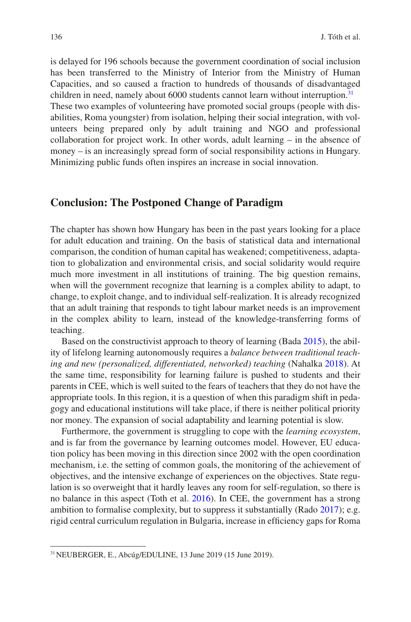is delayed for 196 schools because the government coordination of social inclusion has been transferred to the Ministry of Interior from the Ministry of Human Capacities, and so caused a fraction to hundreds of thousands of disadvantaged children in need, namely about 6000 students cannot learn without interruption.<sup>31</sup> These two examples of volunteering have promoted social groups (people with disabilities, Roma youngster) from isolation, helping their social integration, with volunteers being prepared only by adult training and NGO and professional collaboration for project work. In other words, adult learning – in the absence of money – is an increasingly spread form of social responsibility actions in Hungary. Minimizing public funds often inspires an increase in social innovation.

#### **Conclusion: The Postponed Change of Paradigm**

The chapter has shown how Hungary has been in the past years looking for a place for adult education and training. On the basis of statistical data and international comparison, the condition of human capital has weakened; competitiveness, adaptation to globalization and environmental crisis, and social solidarity would require much more investment in all institutions of training. The big question remains, when will the government recognize that learning is a complex ability to adapt, to change, to exploit change, and to individual self-realization. It is already recognized that an adult training that responds to tight labour market needs is an improvement in the complex ability to learn, instead of the knowledge-transferring forms of teaching.

Based on the constructivist approach to theory of learning (Bada [2015](#page-16-13)), the ability of lifelong learning autonomously requires a *balance between traditional teaching and new (personalized, differentiated, networked) teaching* (Nahalka [2018\)](#page-16-8). At the same time, responsibility for learning failure is pushed to students and their parents in CEE, which is well suited to the fears of teachers that they do not have the appropriate tools. In this region, it is a question of when this paradigm shift in pedagogy and educational institutions will take place, if there is neither political priority nor money. The expansion of social adaptability and learning potential is slow.

Furthermore, the government is struggling to cope with the *learning ecosystem*, and is far from the governance by learning outcomes model. However, EU education policy has been moving in this direction since 2002 with the open coordination mechanism, i.e. the setting of common goals, the monitoring of the achievement of objectives, and the intensive exchange of experiences on the objectives. State regulation is so overweight that it hardly leaves any room for self-regulation, so there is no balance in this aspect (Toth et al. [2016](#page-17-1)). In CEE, the government has a strong ambition to formalise complexity, but to suppress it substantially (Rado [2017](#page-16-14)); e.g. rigid central curriculum regulation in Bulgaria, increase in effciency gaps for Roma

<span id="page-15-0"></span><sup>31</sup>NEUBERGER, E., Abcúg/EDULINE, 13 June 2019 (15 June 2019).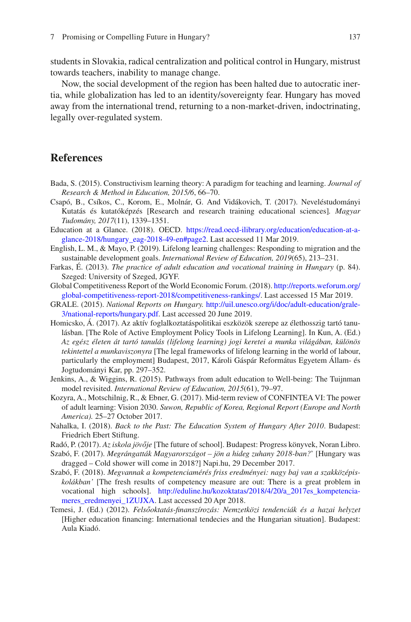students in Slovakia, radical centralization and political control in Hungary, mistrust towards teachers, inability to manage change.

Now, the social development of the region has been halted due to autocratic inertia, while globalization has led to an identity/sovereignty fear. Hungary has moved away from the international trend, returning to a non-market-driven, indoctrinating, legally over-regulated system.

### **References**

- <span id="page-16-13"></span>Bada, S. (2015). Constructivism learning theory: A paradigm for teaching and learning. *Journal of Research & Method in Education, 2015/6*, 66–70.
- <span id="page-16-9"></span>Csapó, B., Csíkos, C., Korom, E., Molnár, G. And Vidákovich, T. (2017). Neveléstudományi Kutatás és kutatóképzés [Research and research training educational sciences]*. Magyar Tudomány, 2017*(11), 1339–1351.
- <span id="page-16-5"></span>Education at a Glance. (2018). OECD. [https://read.oecd-ilibrary.org/education/education-at-a](https://read.oecd-ilibrary.org/education/education-at-a-glance-2018/hungary_eag-2018-49-en#page2)[glance-2018/hungary\\_eag-2018-49-en#page2.](https://read.oecd-ilibrary.org/education/education-at-a-glance-2018/hungary_eag-2018-49-en#page2) Last accessed 11 Mar 2019.
- <span id="page-16-1"></span>English, L. M., & Mayo, P. (2019). Lifelong learning challenges: Responding to migration and the sustainable development goals. *International Review of Education, 2019*(65), 213–231.
- <span id="page-16-12"></span>Farkas, É. (2013). *The practice of adult education and vocational training in Hungary* (p. 84). Szeged: University of Szeged, JGYF.
- <span id="page-16-2"></span>Global Competitiveness Report of the World Economic Forum. (2018). [http://reports.weforum.org/](http://reports.weforum.org/global-competitiveness-report-2018/competitiveness-rankings/) [global-competitiveness-report-2018/competitiveness-rankings/.](http://reports.weforum.org/global-competitiveness-report-2018/competitiveness-rankings/) Last accessed 15 Mar 2019.
- <span id="page-16-3"></span>GRALE. (2015). *National Reports on Hungary.* [http://uil.unesco.org/i/doc/adult-education/grale-](http://uil.unesco.org/i/doc/adult-education/grale-3/national-reports/hungary.pdf)[3/national-reports/hungary.pdf](http://uil.unesco.org/i/doc/adult-education/grale-3/national-reports/hungary.pdf). Last accessed 20 June 2019.
- <span id="page-16-10"></span>Homicsko, Á. (2017). Az aktív foglalkoztatáspolitikai eszközök szerepe az élethosszig tartó tanulásban. [The Role of Active Employment Policy Tools in Lifelong Learning]. In Kun, A. (Ed.) *Az egész életen át tartó tanulás (lifelong learning) jogi keretei a munka világában, különös tekintettel a munkaviszonyra* [The legal frameworks of lifelong learning in the world of labour, particularly the employment] Budapest, 2017, Károli Gáspár Református Egyetem Állam- és Jogtudományi Kar, pp. 297–352.
- <span id="page-16-0"></span>Jenkins, A., & Wiggins, R. (2015). Pathways from adult education to Well-being: The Tuijnman model revisited. *International Review of Education, 2015*(61), 79–97.
- <span id="page-16-4"></span>Kozyra, A., Motschilnig, R., & Ebner, G. (2017). Mid-term review of CONFINTEA VI: The power of adult learning: Vision 2030. *Suwon, Republic of Korea, Regional Report (Europe and North America).* 25–27 October 2017.
- <span id="page-16-8"></span>Nahalka, I. (2018). *Back to the Past: The Education System of Hungary After 2010*. Budapest: Friedrich Ebert Stiftung.
- <span id="page-16-14"></span>Radó, P. (2017). *Az iskola jövője* [The future of school]. Budapest: Progress könyvek, Noran Libro.
- <span id="page-16-7"></span>Szabó, F. (2017). *Megrángatták Magyarországot – jön a hideg zuhany 2018-ban?*' [Hungary was dragged – Cold shower will come in 2018?] Napi.hu, 29 December 2017.
- <span id="page-16-6"></span>Szabó, F. (2018). *Megvannak a kompetenciamérés friss eredményei: nagy baj van a szakközépiskolákban'* [The fresh results of competency measure are out: There is a great problem in vocational high schools]. [http://eduline.hu/kozoktatas/2018/4/20/a\\_2017es\\_kompetencia](http://eduline.hu/kozoktatas/2018/4/20/a_2017es_kompetenciameres_eredmenyei_1ZUJXA)[meres\\_eredmenyei\\_1ZUJXA](http://eduline.hu/kozoktatas/2018/4/20/a_2017es_kompetenciameres_eredmenyei_1ZUJXA). Last accessed 20 Apr 2018.
- <span id="page-16-11"></span>Temesi, J. (Ed.) (2012). *Felsőoktatás-fnanszírozás: Nemzetközi tendenciák és a hazai helyzet* [Higher education fnancing: International tendecies and the Hungarian situation]. Budapest: Aula Kiadó.